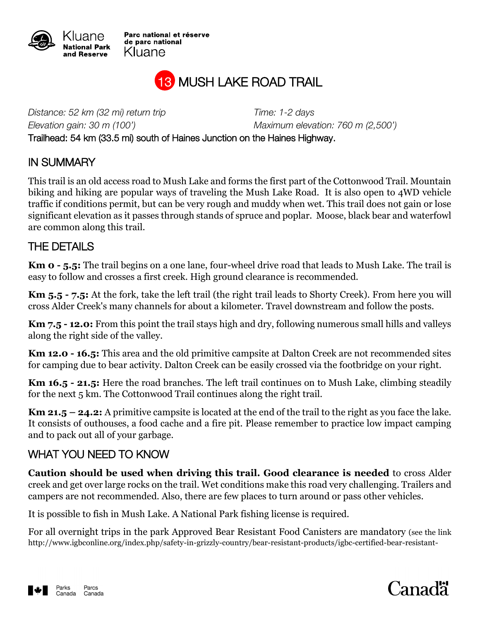

Parc national et réserve de parc national Kluane



*Distance: 52 km (32 mi) return trip Time: 1-2 days*

*Elevation gain: 30 m (100') Maximum elevation: 760 m (2,500')*

Trailhead: 54 km (33.5 mi) south of Haines Junction on the Haines Highway.

## IN SUMMARY

This trail is an old access road to Mush Lake and forms the first part of the Cottonwood Trail. Mountain biking and hiking are popular ways of traveling the Mush Lake Road. It is also open to 4WD vehicle traffic if conditions permit, but can be very rough and muddy when wet. This trail does not gain or lose significant elevation as it passes through stands of spruce and poplar. Moose, black bear and waterfowl are common along this trail.

## THE DETAILS

**Km 0 - 5.5:** The trail begins on a one lane, four-wheel drive road that leads to Mush Lake. The trail is easy to follow and crosses a first creek. High ground clearance is recommended.

**Km 5.5 - 7.5:** At the fork, take the left trail (the right trail leads to Shorty Creek). From here you will cross Alder Creek's many channels for about a kilometer. Travel downstream and follow the posts.

**Km 7.5 - 12.0:** From this point the trail stays high and dry, following numerous small hills and valleys along the right side of the valley.

**Km 12.0 - 16.5:** This area and the old primitive campsite at Dalton Creek are not recommended sites for camping due to bear activity. Dalton Creek can be easily crossed via the footbridge on your right.

**Km 16.5 - 21.5:** Here the road branches. The left trail continues on to Mush Lake, climbing steadily for the next 5 km. The Cottonwood Trail continues along the right trail.

**Km 21.5 – 24.2:** A primitive campsite is located at the end of the trail to the right as you face the lake. It consists of outhouses, a food cache and a fire pit. Please remember to practice low impact camping and to pack out all of your garbage.

## WHAT YOU NEED TO KNOW

**Caution should be used when driving this trail. Good clearance is needed** to cross Alder creek and get over large rocks on the trail. Wet conditions make this road very challenging. Trailers and campers are not recommended. Also, there are few places to turn around or pass other vehicles.

It is possible to fish in Mush Lake. A National Park fishing license is required.

For all overnight trips in the park Approved Bear Resistant Food Canisters are mandatory (see the link http://www.igbconline.org/index.php/safety-in-grizzly-country/bear-resistant-products/igbc-certified-bear-resistant-